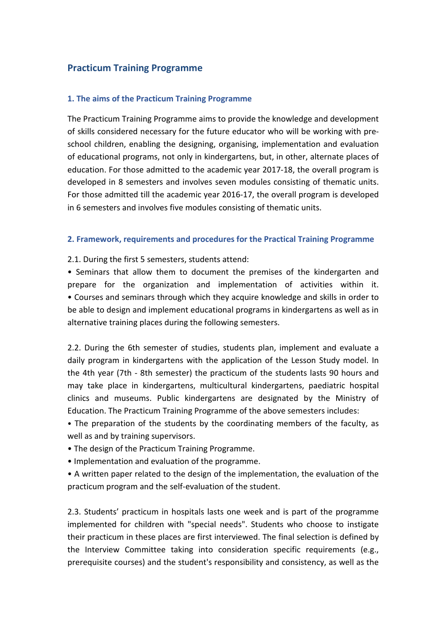# **Practicum Training Programme**

### **1. The aims of the Practicum Training Programme**

The Practicum Training Programme aims to provide the knowledge and development of skills considered necessary for the future educator who will be working with preschool children, enabling the designing, organising, implementation and evaluation of educational programs, not only in kindergartens, but, in other, alternate places of education. For those admitted to the academic year 2017-18, the overall program is developed in 8 semesters and involves seven modules consisting of thematic units. For those admitted till the academic year 2016-17, the overall program is developed in 6 semesters and involves five modules consisting of thematic units.

#### **2. Framework, requirements and procedures for the Practical Training Programme**

2.1. During the first 5 semesters, students attend:

• Seminars that allow them to document the premises of the kindergarten and prepare for the organization and implementation of activities within it. • Courses and seminars through which they acquire knowledge and skills in order to be able to design and implement educational programs in kindergartens as well as in alternative training places during the following semesters.

2.2. During the 6th semester of studies, students plan, implement and evaluate a daily program in kindergartens with the application of the Lesson Study model. In the 4th year (7th - 8th semester) the practicum of the students lasts 90 hours and may take place in kindergartens, multicultural kindergartens, paediatric hospital clinics and museums. Public kindergartens are designated by the Ministry of Education. The Practicum Training Programme of the above semesters includes:

• The preparation of the students by the coordinating members of the faculty, as well as and by training supervisors.

- The design of the Practicum Training Programme.
- Implementation and evaluation of the programme.

• A written paper related to the design of the implementation, the evaluation of the practicum program and the self-evaluation of the student.

2.3. Students' practicum in hospitals lasts one week and is part of the programme implemented for children with "special needs". Students who choose to instigate their practicum in these places are first interviewed. The final selection is defined by the Interview Committee taking into consideration specific requirements (e.g., prerequisite courses) and the student's responsibility and consistency, as well as the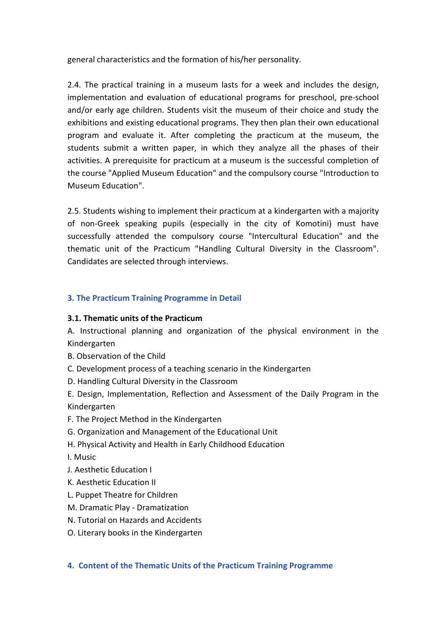general characteristics and the formation of his/her personality.

2.4. The practical training in a museum lasts for a week and includes the design, implementation and evaluation of educational programs for preschool, pre-school and/or early age children. Students visit the museum of their choice and study the exhibitions and existing educational programs. They then plan their own educational program and evaluate it. After completing the practicum at the museum, the students submit a written paper, in which they analyze all the phases of their activities. A prerequisite for practicum at a museum is the successful completion of the course "Applied Museum Education" and the compulsory course "Introduction to Museum Education".

2.5. Students wishing to implement their practicum at a kindergarten with a majority of non-Greek speaking pupils (especially in the city of Komotini) must have successfully attended the compulsory course "Intercultural Education" and the thematic unit of the Practicum "Handling Cultural Diversity in the Classroom". Candidates are selected through interviews.

## **3. The Practicum Training Programme in Detail**

### **3.1. Thematic units of the Practicum**

A. Instructional planning and organization of the physical environment in the Kindergarten

- B. Observation of the Child
- C. Development process of a teaching scenario in the Kindergarten
- D. Handling Cultural Diversity in the Classroom

E. Design, Implementation, Reflection and Assessment of the Daily Program in the Kindergarten

- F. The Project Method in the Kindergarten
- G. Organization and Management of the Educational Unit
- H. Physical Activity and Health in Early Childhood Education
- I. Music
- J. Aesthetic Education I
- K. Aesthetic Education II
- L. Puppet Theatre for Children
- M. Dramatic Play Dramatization
- N. Tutorial on Hazards and Accidents
- O. Literary books in the Kindergarten

### **4. Content of the Thematic Units of the Practicum Training Programme**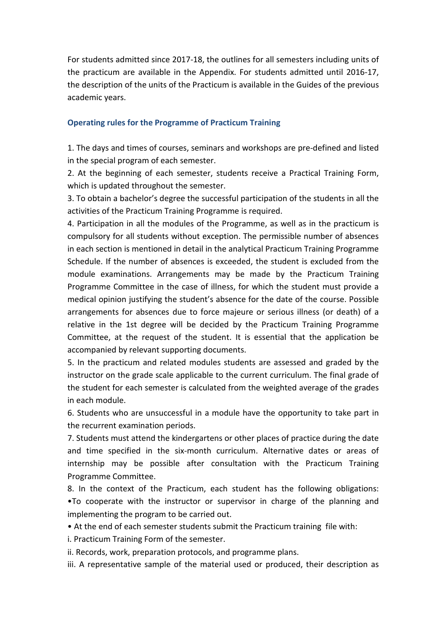For students admitted since 2017-18, the outlines for all semesters including units of the practicum are available in the Appendix. For students admitted until 2016-17, the description of the units of the Practicum is available in the Guides of the previous academic years.

### **Operating rules for the Programme of Practicum Training**

1. The days and times of courses, seminars and workshops are pre-defined and listed in the special program of each semester.

2. At the beginning of each semester, students receive a Practical Training Form, which is updated throughout the semester.

3. To obtain a bachelor's degree the successful participation of the students in all the activities of the Practicum Training Programme is required.

4. Participation in all the modules of the Programme, as well as in the practicum is compulsory for all students without exception. The permissible number of absences in each section is mentioned in detail in the analytical Practicum Training Programme Schedule. If the number of absences is exceeded, the student is excluded from the module examinations. Arrangements may be made by the Practicum Training Programme Committee in the case of illness, for which the student must provide a medical opinion justifying the student's absence for the date of the course. Possible arrangements for absences due to force majeure or serious illness (or death) of a relative in the 1st degree will be decided by the Practicum Training Programme Committee, at the request of the student. It is essential that the application be accompanied by relevant supporting documents.

5. In the practicum and related modules students are assessed and graded by the instructor on the grade scale applicable to the current curriculum. The final grade of the student for each semester is calculated from the weighted average of the grades in each module.

6. Students who are unsuccessful in a module have the opportunity to take part in the recurrent examination periods.

7. Students must attend the kindergartens or other places of practice during the date and time specified in the six-month curriculum. Alternative dates or areas of internship may be possible after consultation with the Practicum Training Programme Committee.

8. In the context of the Practicum, each student has the following obligations: •To cooperate with the instructor or supervisor in charge of the planning and implementing the program to be carried out.

• At the end of each semester students submit the Practicum training file with:

i. Practicum Training Form of the semester.

ii. Records, work, preparation protocols, and programme plans.

iii. A representative sample of the material used or produced, their description as